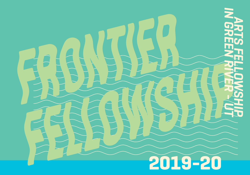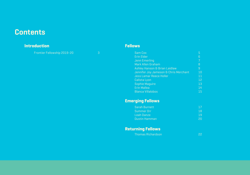### **Contents**

#### **Introduction Fellows**

Frontier Fellowship 2019-20

| Sam Cox                               |    |
|---------------------------------------|----|
| <b>Erin Elder</b>                     | 6  |
| Jenn Emerling                         |    |
| Mark Allen Graham                     | 8  |
| Ashley Hanson & Brian Laidlaw         | 9  |
| Jennifer Joy Jameson & Chris Merchant | 10 |
| <b>Jess Lamar Reece Holler</b>        | 11 |
| Calista Lyon                          | 12 |
| <b>Sophie Maquire</b>                 | 13 |
| Erin Mallea                           | 14 |
| <b>Blanca Villalobos</b>              | 15 |
|                                       |    |

#### **Emerging Fellows**

| Sarah Burnett |    |
|---------------|----|
| Summer Orr    | 18 |
| Leah Danze    | 19 |
| Dustin Hamman | Sυ |

#### **Returning Fellows**

| <b>Thomas Richardson</b> |  |
|--------------------------|--|
|--------------------------|--|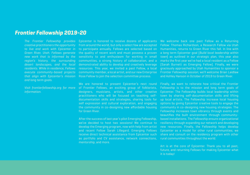#### *Frontier Fellowship 2019-20*

*The Frontier Fellowship provides creative practitioners the opportunity to live and work with Epicenter in Green River, Utah. Fellows generate new work that is informed by the region's history, the surrounding desert landscapes, and the local residents. While in residence, Fellows execute community-based projects that align with Epicenter's mission and long term goals.*

*Visit frontierfellowship.org for more information.*

Epicenter is honored to receive dozens of applicants from around the world, but only a select few are accepted to participate annually. Fellows are selected based on the quality of recent work and must possess a proven sensitivity to and enthusiasm for working in small communities, a strong history of collaboration, and a demonstrated ability to develop and creatively leverage resources. This year, we invited a past Fellow, a local community member, a local artist, and our new Enterprise Rose Fellow to join the selection committee process.

We are honored to present Epicenter's next round of Frontier Fellows, an exciting group of folklorists, designers, musicians, artists, and other creative practitioners who will be focused on teaching selfdocumentation skills and strategies, sharing tools for self expression and cultural exploration, and engaging the community in co-designing new affordable housing for Green River.

After the success of last year's pilot Emerging Fellowship, we've decided to host two sessions! We continue to develop the Emerging program, now with help from artist and recent Fellow Sarah Lillegard. Emerging Fellows receive direct technical assistance from Epicenter such as portfolio and CV assistance, network connections, mentorship, and more.

We welcome back one past Fellow as a Returning Fellow: Thomas Richardson, a Research Fellow via Utah Humanities, returns to Green River this fall. In line with a long term Epicenter goal (*Build local leadership within town*) as outlined in our strategic plan, this year also marks the first year we've had a local resident as a Fellow (Sarah Burnett as Emerging Fellow). Finally, we were graciously approached by Utah Humanities to sponsor a Frontier Fellowship session; we'll welcome Brian Laidlaw and Ashley Hanson in October of 2019 to Green River.

Finally, we want to reiterate how critical the Frontier Fellowship is to the mission and long term goals of Epicenter. The Fellowship builds local leadership within town by sharing self-documentation skills and lifting up local artists. The Fellowship increase local housing options by giving Epicenter creative tools to engage the community in co-designing new housing strategies. The Fellowship increases town vibrancy through events and beautifies the built environment through communitybased installations. The Fellowship ensure organizational resiliency through expanding our network and developing new resources. Finally, the Fellowship helps develop Epicenter as a model for other rural communities; we share and consult on the residency program with other rural communities throughout the world.

Art is at the core of Epicenter. Thank you to all past, future, and returning Fellows for making Epicenter what it is today!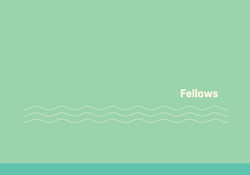

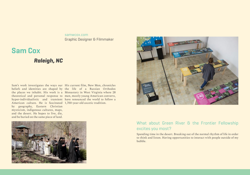#### [samwcox.com](http://samwcox.com) Graphic Designer & Filmmaker

### **Sam Cox**

#### *Raleigh, NC*

Sam's work investigates the ways our His current film, New Men, chronicles American culture. He is fascinated 1,700-year-old ascetic tradition.by geography, Eastern Christian mysticism, indigenous cultures, maps, and the desert. He hopes to live, die, and be buried on the same piece of land.

beliefs and identities are shaped by the life of a Russian Orthodox the places we inhabit. His work is a Monastery in West Virginia where 28 theoretical and personal response to men, mostly young American converts, hyper-individualistic and transient have renounced the world to follow a





#### What about Green River & the Frontier Fellowship excites you most?

Spending time in the desert. Breaking out of the normal rhythm of life in order to think and listen. Having opportunities to interact with people outside of my bubble.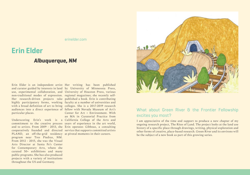[erinelder.com](https://www.erinelder.com)

## **Erin Elder**

#### *Albuquerque, NM*

Erin Elder is an independent artist Her writing has been published and curator guided by interests in land by University of Minnesota Press, use, experimental collaboration, and University of Houston Press, various non-traditional modes of expression. regional magazines; she recently self-Her research-driven projects take published a book. Erin is contributing highly participatory forms, working faculty at a number of universities and with a broad definition of art to bring colleges. She is a 2017-2019 research audiences into a direct experience of fellow with Nevada Museum of Art's particular places.

commitment to the creative process years of experience in the art world, and to artists. From 2009 - 2013, she Erin operates Gibbous, a consulting cooperatively founded and directed service that supports committed artists PLAND, an off-the-grid residency at pivotal moments in their careers. program near Tres Piedras, NM. From 2012 - 2015, she was the Visual Arts Director at Santa Fe's Center for Contemporary Arts, where she curated 50+ exhibitions and many public programs. She has also produced projects with a variety of institutions throughout the US and Germany.

Underscoring Erin's work is a California College of the Arts and Center for Art + Environment. With an MA in Curatorial Practice from



#### What about Green River & the Frontier Fellowship excites you most?

I am appreciative of the time and support to produce a new chapter of my ongoing research project, The Rites of Land. The project looks at the land use history of a specific place through drawings, writing, physical exploration and other forms of creative, place-based research. Green River and its environs will be the subject of a new book as part of this growing series.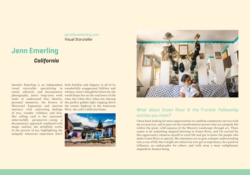#### [jenniferemerling.com](https://jenniferemerling.com) Visual Storyteller

### **Jenn Emerling** *California*

Jennifer Emerling is an independent both familiar and slippery in all of its intersect with cultivating feelings West, she calls California home. of awe, wonder, wildness, and love. Her calling card is her saturated, otherworldly perspective—using a documentary approach combined with magic realism, she mindfully works in the pursuit of joy, highlighting the uniquely American experience that's

visual storyteller specializing in wonderfully exaggerated folklore and travel, editorial, and documentary whimsy. Jenn's thoughtful thirst for the photography. Jenn's long-term work world keeps her on the road most of the seeks to understand how identity, time, but when she's when not chasing personal memories, the history of the perfect golden light tripping down Westward Expansion and tourism the cosmic highway in the American





#### What about Green River & the Frontier Fellowship excites you most?

I have been looking for more opportunities to combine community service with my art practice, and to pass on the transformative powers that are uniquely felt within the great, wild expanse of the Western Landscape through art. There seems to be something magical brewing in Green River, and I'm excited for this opportunity immerse myself in rural life and get to know the people who make Green River so special. My intentions are to gain a deeper understanding into a way of life that I might not otherwise ever get to experience, be a positive influence, an ambassador for others, and walk away a more enlightened, empathetic human being.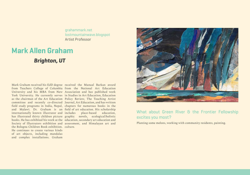[grahammark.net](https://www.grahammark.net) [lostmountainwave.blogspot](http://lostmountainwave.blogspot.com) Artist Professor

### **Mark Allen Graham**

#### *Brighton, UT*

Mark Graham received his EdD degree received the Manual Barkan award from Teachers College of Columbia from the National Art Education University and his MBA from New Association and has published work York University. He currently serves in Studies in Art Education, Education as the chairman of the Art Education Policy Review, The Teaching Artist committee and recently co-directed Journal, Art Education, and has written field study programs in India, Nepal, chapters for numerous books in the and Malawi. Dr. Graham is an field of art education. His scholarship internationally known illustrator and has illustrated thirty children picture graphic novels, ecological/holistic books. He has exhibited his work at the education, secondary art education and Society of Illustrators exhibition and assessment, and Himalayan art and the Bologna Children Book exhibition. culture. He continues to create various kinds of art objects, including mandalas and complex installations. Graham

place-based education,



#### What about Green River & the Frontier Fellowship excites you most?

Planting some melons, working with community residents, painting.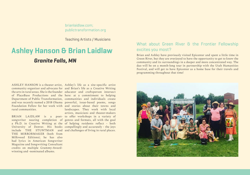[brianlaidlaw.com](www.brianlaidlaw.com); [publictransformation.org](www.publictransformation.org)

Teaching Artists / Musicians

### **Ashley Hanson & Brian Laidlaw** *Granite Falls, MN*

ASHLEY HANSON is a theater artist, Ashley's life as a site-specific artist community organizer and advocate for and Brian's life as a Creative Writing the arts in rural areas. She is the founder educator and craftsperson intersect of PlaceBase Productions and the here: at a commitment to helping Department of Public Transformation, communities and individuals create and was recently named a 2018 Obama powerful, issue-based poems, songs Foundation Fellow for her work with and stories about their towns and rural communities.

songwriter nearing completion of genres and formats, all with the goal a Ph.D. in Creative Writing at the of helping residents reflect - both University of Denver. His books compellingly and accurately - the joys include THE STUNTMAN and and challenges of living in rural places. THE MIRRORMAKER (both from Milkweed Editions); he has also had lyrics in American Songwriter Magazine and Songwriting Consultant credits on multiple Grammy-Awardwinning and -nominated albums.

BRIAN LAIDLAW is a poet-to offer workshops in a variety of landscapes. They work with local artists, musicians and theater-makers

#### What about Green River & the Frontier Fellowship excites you most?

Brian and Ashley have previously visited Epicenter and spent a little time in Green River, but they are overjoyed to have the opportunity to get to know the community and its surroundings in a deeper and more concentrated way. The duo will be on a month-long tour in partnership with the Utah Humanities Festival, and will get to have Epicenter as a home base for their travels and programming throughout that time!

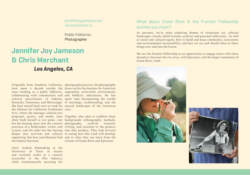[jenniferjoyjameson.net](https://www.jenniferjoyjameson.net); [chrismerchant.tv](https://chrismerchant.tv)

Public Folklorist; Photographer

### **Jennifer Joy Jameson & Chris Merchant** *Los Angeles, CA*

Jenn spent a decade outside the draws on his fascinations for American state working as a public folklorist, regionality, artist-built environments collaborating with communities and and hobbyist subcultures. He has cultural practitioners in Indiana, spent time documenting the worlds Kentucky, Tennessee, and Mississippi. of mycology, rockhounding, and the She later moved back west to work for natural landscapes of the American the Alliance for California Traditional west. Arts, where she manages cultural arts programs, grants, and media. Jenn Together, they plan to combine these often finds herself at two poles—one backgrounds (ethnographic methods, has her leaning more into the creative photography, archival research, practices of a fieldworker, writer, and writing, and curation) in the projects curator, and the other has her leaning that they produce. They look forward deeper into activism and cultural to seeing how this work will develop, organizing. Her best contributions find and to what they can learn from the the balance between.

Chris studied filmmaking at the University of Texas in Austin and currently works as a creative researcher in the film industry, while simultaneously pursuing his

Originally from Southern California, photographic practice. His photography

citizens of Green River and Epicenter.

#### What about Green River & the Frontier Fellowship excites you most?

As partners, we've enjoy exploring themes of vernacular art, cultural landscapes, rituals, belief systems, archives and personal collections. As well as racial and cultural equity, how to build and keep community, ecosystems and environmental sustainability, and how we can and should relate to these things now and into the future.

We see the Frontier Fellowship as an opportunity to engage closer with these dynamics: between the two of us, with Epicenter, and the larger community of Green River, Utah.



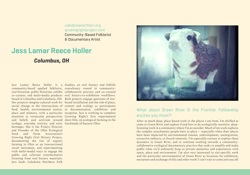[caledonianorthern.org](https://www.caledonianorthern.org) [growingrightproject.com](http://growingrightproject.com) Community-Based Folklorist & Documentary Artist

### **Jess Lamar Reece Holler** *Columbus, OH*

Jess Lamar Reece Holler is a Studios, an oral history and folklife community-based applied folklorist, consultancy rooted in communityoral historian, public historian, exhibit collaborative practice and co-curated co-curator, and multi-media producer oral history-to-exhibition workflows. based in Columbus and Caledonia, OH. Both projects engage questions of site-Her projects imagine cultural work for based installation and the role of place, social change at the intersections of context and ecology as participants food, health, environmental justice, in documentation, exhibition and place and memory, with a particular reception. Jess is working to complete attention to vernacular perspectives Growing Right's first experimental and beliefs and activism around short film, on ecological farming in the ecology, everyday toxicity, and toxic fracklands of Eastern Ohio.heritages. She is the Project Director and Founder of the Ohio Ecological Food and Farm Association's Growing Right Oral History Project, documenting the rise of organic farming in Ohio as an intersectional social movement, and experimenting with multi-modal ways to engage the public and cultivate transformative listening from oral history materials. Jess leads Caledonia Northern Folk



#### What about Green River & the Frontier Fellowship excites you most?

After so much deep, place-based work in the places I am from, I'm thrilled to come to Green River and explore if and how to do ecologically-sensitive, deeplistening work in a community where I'm an outsider. Much of my work explores the complex attachments people have to place -- especially when their places have been impacted by environmental trauma, redevelopment, outmigration, extractive industry, or forced removals. I'm especially curious to explore these dynamics in Green River, and to continue working towards a communitycollaborative ecological documentary practice that seeks to amplify and make public what we'd ordinarily keep as private memories and experiences with space, place and environment. I'm also very interested in site-specific work and the particular environment(s) of Green River as locations for exhibition, encounter and exchange of this and other work! I can't wait to come join you all!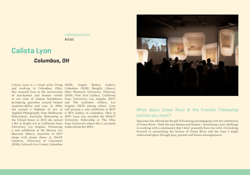[calistalyon.com](http://www.calistalyon.com) Artist

### **Calista Lyon**

#### *Columbus, OH*

Calista Lyon is a visual artist living (2018); Angela Meleca Gallery, and working in Columbus, Ohio. Columbus (2018); Beeghly Library, Her research lives at the intersection Ohio Wesleyan University, Delaware of non-human and human worlds (2018); Fine Arts Gallery, California in our time of climate breakdown, State University, Los Angeles (2017) prompting questions around human and The Luckman Gallery, Los response-ability and care. In 2006, Angeles (2015) among others. Lyon she earned a Diploma of Art in will present a solo exhibition at ROY Applied Photography from Melbourne G BIV Gallery in Columbus, Ohio in Polytechnic, Australia. Relocating to 2019. Lyon was awarded the 2016/17 the United States in 2012 she earned University Fellowship at The Ohio a BA in Studio Art at California State State University where she is currently University, Los Angeles. Presenting undertaking her MFA. a solo exhibition at the Murray Art Museum Albury, Australia in 2017 along with group shows at DAAP Galleries, University of Cincinnati (2018); Cultural Arts Center, Columbus



#### What about Green River & the Frontier Fellowship excites you most?

Epicenter has offered me the gift of listening and engaging with the community of Green River—both the non-human and human—presenting a new challenge in working with a community that I don't presently have ties with. I'm looking forward to researching the history of Green River and the ways I might understand place through past, present and future entanglements.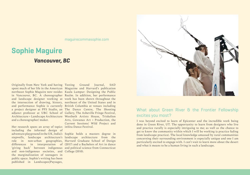[maguirecommasophie.com](http://maguirecommasophie.com)

## **Sophie Maguire**

#### *Vancouver, BC*

Originally from New York and having Testing Ground Journal, SAD spent much of her life in the American Magazine and Harvard's publication northeast Sophie Maguire now resides Kuala Lumpur: Designing the Public in Vancouver, BC. A choreographer Realm. In addition, her performance and landscape designer working at work has been shown throughout the the intersection of drawing, history, northeast of the United States and in and performance Sophie is currently British Columbia at venues including a project designer at PFS Studio, an The Dance Centre, The Shooting adjunct professor at UBC School of Gallery, The Asheville Fringe Festival, Architecture + Landscape Architecture Westbeth Artists House, Triskelion and a choreographer/ maker.

Her research spans an array of topics inSitu Dance Festival. including the informal design of adventure playground in the UK, India's Sophie holds a masters degree in stepwells, landscape architecture's landscape architecture from the role in non-urban geographies, Harvard Graduate School of Design differences in interpretation of (2017) and a Bachelors of Art in dance 'giving back' between indigenous and political science from Connecticut and non-indigenous societies, and College (2010).the marginalization of teenagers in public space. Sophie's writing has been published in Landscapes|Paysages,

Arts, Gowanus Art + Production, the Current Sessions/ Wild Project and



#### What about Green River & the Frontier Fellowship excites you most?

I was beyond excited to learn of Epicenter and the incredible work being done in Green River, UT. The opportunity to learn from designers who live and practice rurally is especially intriguing to me; as well as the chance to get to know the community within which I will be working (a practice fading from landscape practice). The local knowledge amassed by rural communities concerning their surrounding environment is especially unique and one I am particularly excited to engage with. I can't wait to learn more about the desert and what it means to be a human living in such a landscape.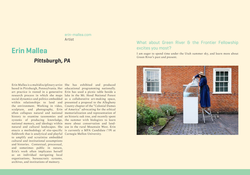[erin-mallea.com](http://erin-mallea.com) Artist

### **Erin Mallea**

#### *Pittsburgh, PA*

Erin Mallea is a multidisciplinary artist She has exhibited and produced based in Pittsburgh, Pennsylvania. Her educational programming nationally. art practice is rooted in a generative Erin has used a picnic table beside a research process in which she maps lake in the Mt. Hood National Forest social dynamics and politics embedded as a collaborative art-making space, within relationships to land and presented a proposal to the Allegheny the environment. Working in video, County chapter of the "Colonial Dames sculpture, and photography, Erin of America" advocating for the ethical often collapses natural and national memorialization and representation of history to examine taxonomies and an historic oak tree, and recently spent systems of producing knowledge, the summer with biologists to learn national memory, and ideology within more about conservation and landnatural and cultural landscapes. She use in the rural Mountain West. Erin enacts a methodology of site-specific is currently a MFA Candidate ('19) at fieldwork that is analytical and playful Carnegie Mellon University.to amplify and scrutinize embedded cultural and institutional assumptions and histories. Contextual, processual, and sometimes public in nature, Erin's work often implicates herself as an individual navigating local organizations, bureaucratic systems, archives, and institutions of memory.

#### What about Green River & the Frontier Fellowship excites you most?

I am eager to spend time under the Utah summer sky, and learn more about Green River's past and present.

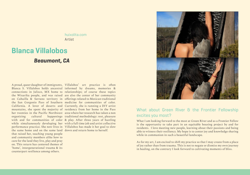[huixolita.com](http://www.huixolita.com) Artist

### **Blanca Villalobos**

#### *Beaumont, CA*

A proud, queer daughter of immigrants, Villalobos' art practice is often Blanca S. Villalobos holds ancestral informed by dreams, memories & connections in Jalisco, MX home to relationships; of course these topics the Wixarika people, and was raised are also the center of her community on Cahuilla & Serrano territory in offerings related to Mexican traditional the San Gorgonio Pass of Southern medicine for communities of color. California. A lover of deserts and Currently, she is running a DIY artist mountains, she spent the majority of residency from her home in the Pass her twenties in the Pacific Northwest area where her research has taken a non organizing cultural happenings traditional methodology: rest, pleasure with and for communities of color & play. After three years of hustling while simultaneously developing her with a full time job and artist collective performance practice. She now lives in Villalobos has made it her goal to slow the same home and on the same land down and return home to herself.that raised her, teaching young people and community members alike how to care for the land they live, play and pray on. This return has centered themes of 'home', intergenerational trauma & its counterpart resilience among others.



#### What about Green River & the Frontier Fellowship excites you most?

What I am looking forward to the most at Green River and as a Frontier Fellow is the opportunity to take part in an equitable housing project by and for residents. I love meeting new people, learning about their passions and being able to witness their resiliency. My hope is to center joy and knowledge sharing while in communion in such a beautiful landscape.

As for my art, I am excited to shift my practice so that I may create from a place of joy rather than from trauma. This is not to negate or dismiss my own journey in healing, on the contrary I look forward to cultivating moments of bliss.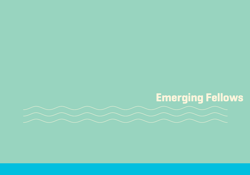# **Emerging Fellows**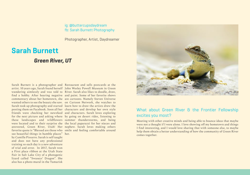#### ig: [@buttercupsdaydream](https://www.instagram.com/buttercupsdaydream/) fb: [Sarah Burnett Photography](https://www.facebook.com/Sarah-Burnett-Photography-339972646133806/)

Photographer, Artist, Daydreamer

### **Sarah Burnett**

#### *Green River, UT*

Sarah Burnett is a photographer and Restaurant and sells postcards at the artist. 10 years ago, Sarah found herself John Wesley Powell Museum in Green wandering aimlessly and was told to River. Sarah also likes to doodle, draw, find a hobby. After hearing negative and paint. Some of her favorite shows commentary about her hometown, she are cartoons. Namely Steven Universe wanted others to see the beauty she saw. on Cartoon Network, she watches to Sarah took up photography and started learn how to draw the artists drew the posting them on Facebook. Soon all her characters and develop her own style friends were checking her newsfeed and characters. Sarah loves exploring for the next picture and asking where by going on desert rides, listening to these landscapes and wildflowers summer thunderstorms, and being were located and to their surprise she the local paparazzi for her nieces and answered, Green River, Utah! Her nephew. Sarah loves making others favorite quote is "Blessed are those who smile and feeling comfortable around see beautiful things in humble places" her.by Camille Pissarro. Sarah is self taught and does not have any professional training so each day is a new adventure of trial and error. In 2017, Sarah won a First place ribbon at the Utah State Fair in Salt Lake City of a photogenic lizard called "Swaseys' Dragon". She also has a photo mural in the Tamarisk



#### What about Green River & the Frontier Fellowship excites you most?

Meeting with other creative minds and being able to bounce ideas that maybe were not a thought if I were alone. I love showing off my hometown and things I find interesting, and I would love sharing that with someone else, to maybe help them obtain a better understanding of how the community of Green River comes together.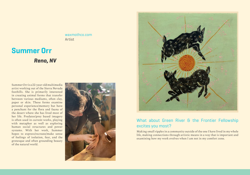[waxmothco.com](https://waxmothco.com) Artist

### **Summer Orr**

*Reno, NV*

Summer Orr is a 22-year-old multimedia artist working out of the Sierra Nevada foothills. She is primarily interested in creating animal forms that transfer between various mediums, often clay, paper or skin. These forms examine personal experience/memory but have a penchant for the flora and fauna of the desert where she has lived most of her life. Predator/prey based imagery is often used in current works, playing with metaphor as well as exploring human social structures and power systems. With her work, Summer hopes to express/recreate/make sense of feelings of isolation, fear, and the grotesque and often grounding beauty of the natural world.





#### What about Green River & the Frontier Fellowship excites you most?

Making small ripples in a community outside of the one I have lived in my whole life, making connections through artistic means in a way that is important and examining how my work evolves when I am not in my comfort zone.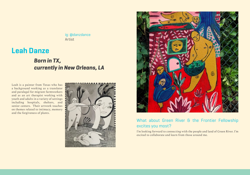ig: [@danzdance](https://www.instagram.com/danzdance/?hl=en) Artist

### **Leah Danze**

### *Born in TX, currently in New Orleans, LA*

Leah is a painter from Texas who has a background working as a translator and paralegal for migrant farmworkers and as an art therapist working with youth and adults in a variety of settings including hospitals, shelters, and senior centers. Their artwork touches on themes related to intimacy, memory and the forgiveness of plants.





#### What about Green River & the Frontier Fellowship excites you most?

I'm looking forward to connecting with the people and land of Green River. I'm excited to collaborate and learn from those around me.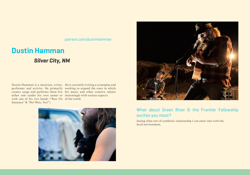[patreon.com/dustinhamman](https://www.patreon.com/dustinhamman)

### **Dustin Hamman**

#### *Silver City, NM*

Dustin Hamman is a musician, writer, He is currently writing a screenplay and performer and activist. He primarily working to expand the ways in which creates songs and performs them live his music and other creative talents either solo (under his own name) or intermingle with various aspects with one of his two bands ("Run On of the world. Sentence" & "No! Wait, Yes!").





#### What about Green River & the Frontier Fellowship excites you most?

Seeing what sort of symbiotic relationship I can enter into with the local environment.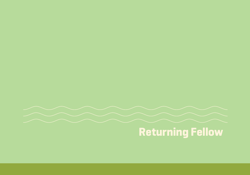

## **Returning Fellow**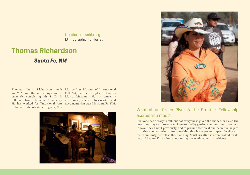[frontierfellowship.org](http://www.frontierfellowship.org) Ethnographic Folklorist

### **Thomas Richardson**

#### *Santa Fe, NM*

an M.A. in ethnomusicology and is Folk Art, and the Birthplace of County currently completing his Ph.D. in Music Museum. He is currently folklore from Indiana University. an independent folklorist and He has worked for Traditional Arts documentarian based in Santa Fe, NM. Indiana, Utah Folk Arts Program, New

Thomas Grant Richardson holds Mexico Arts, Museum of International





#### What about Green River & the Frontier Fellowship excites you most?

Everyone has a story to tell, but not everyone is given the chance, or asked the questions they want to answer. I am excited by getting communities to connect in ways they hadn't previously, and to provide technical and narrative help to turn these conversations into something that has a greater impact for those in the community, as well as those visiting. Southern Utah is often exalted for its natural beauty. I'm excited about telling the world about its residents.